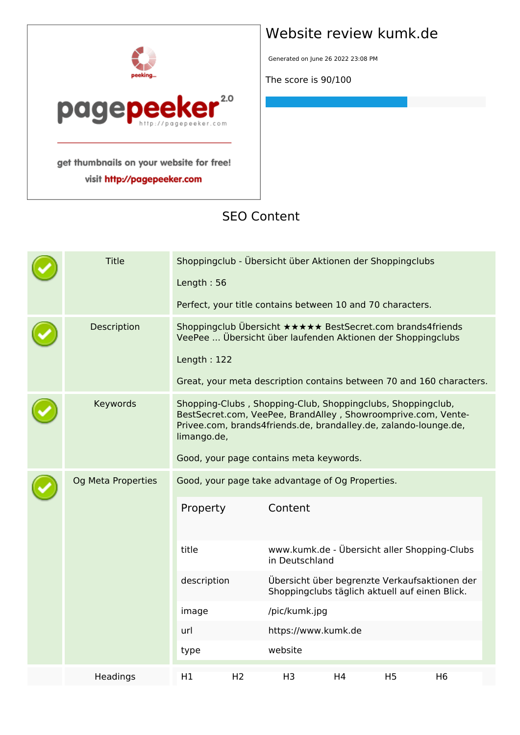

visit http://pagepeeker.com

## **Website review kumk.de**

Generated on June 26 2022 23:08 PM

**The score is 90/100**

#### **SEO Content**

|  | <b>Title</b>       | Length: 56                                       |                |                                                                                                 | Shoppingclub - Übersicht über Aktionen der Shoppingclubs<br>Perfect, your title contains between 10 and 70 characters.                                                     |                |                                                                      |
|--|--------------------|--------------------------------------------------|----------------|-------------------------------------------------------------------------------------------------|----------------------------------------------------------------------------------------------------------------------------------------------------------------------------|----------------|----------------------------------------------------------------------|
|  | Description        | Length: 122                                      |                |                                                                                                 | Shoppingclub Übersicht ***** BestSecret.com brands4friends<br>VeePee  Übersicht über laufenden Aktionen der Shoppingclubs                                                  |                | Great, your meta description contains between 70 and 160 characters. |
|  | Keywords           | limango.de,                                      |                |                                                                                                 | Shopping-Clubs, Shopping-Club, Shoppingclubs, Shoppingclub,<br>Privee.com, brands4friends.de, brandalley.de, zalando-lounge.de,<br>Good, your page contains meta keywords. |                | BestSecret.com, VeePee, BrandAlley, Showroomprive.com, Vente-        |
|  | Og Meta Properties | Good, your page take advantage of Og Properties. |                |                                                                                                 |                                                                                                                                                                            |                |                                                                      |
|  |                    | Property                                         |                | Content                                                                                         |                                                                                                                                                                            |                |                                                                      |
|  |                    | title                                            |                | www.kumk.de - Übersicht aller Shopping-Clubs<br>in Deutschland                                  |                                                                                                                                                                            |                |                                                                      |
|  |                    | description                                      |                | Übersicht über begrenzte Verkaufsaktionen der<br>Shoppingclubs täglich aktuell auf einen Blick. |                                                                                                                                                                            |                |                                                                      |
|  |                    | image<br>/pic/kumk.jpg                           |                |                                                                                                 |                                                                                                                                                                            |                |                                                                      |
|  |                    | url                                              |                | https://www.kumk.de                                                                             |                                                                                                                                                                            |                |                                                                      |
|  |                    | type                                             |                | website                                                                                         |                                                                                                                                                                            |                |                                                                      |
|  | Headings           | H1                                               | H <sub>2</sub> | H <sub>3</sub>                                                                                  | H4                                                                                                                                                                         | H <sub>5</sub> | H6                                                                   |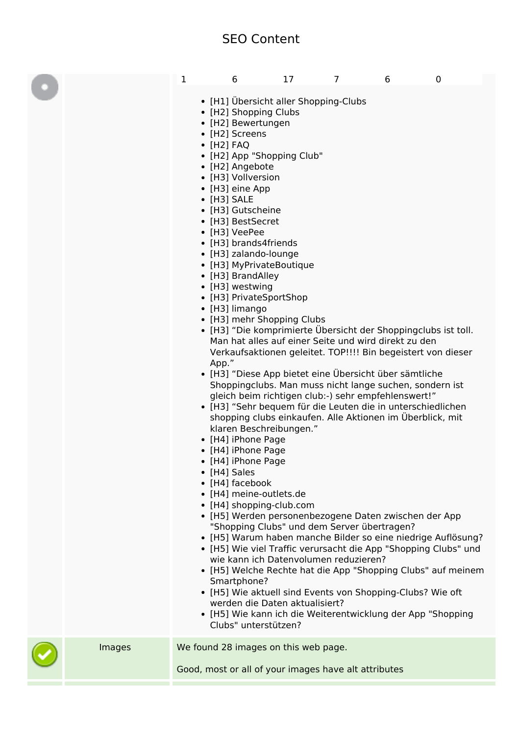### **SEO Content**

|        | 1 | 6<br>• [H2] Shopping Clubs<br>• [H2] Bewertungen<br>• [H2] Screens<br>$\bullet$ [H2] FAQ<br>• [H2] Angebote<br>• [H3] Vollversion<br>• [H3] eine App<br>$\bullet$ [H3] SALE<br>• [H3] Gutscheine<br>• [H3] BestSecret<br>• [H3] VeePee<br>• [H3] brands4friends<br>• [H3] zalando-lounge<br>• [H3] MyPrivateBoutique<br>• [H3] BrandAlley<br>• [H3] westwing<br>• [H3] PrivateSportShop<br>• [H3] limango<br>App."<br>klaren Beschreibungen."<br>• [H4] iPhone Page<br>• [H4] iPhone Page<br>• [H4] iPhone Page<br>• [H4] Sales<br>• [H4] facebook<br>• [H4] meine-outlets.de<br>• [H4] shopping-club.com<br>Smartphone?<br>Clubs" unterstützen? | 17<br>• [H1] Übersicht aller Shopping-Clubs<br>• [H2] App "Shopping Club"<br>• [H3] mehr Shopping Clubs<br>• [H3] "Die komprimierte Übersicht der Shoppingclubs ist toll.<br>Man hat alles auf einer Seite und wird direkt zu den<br>Verkaufsaktionen geleitet. TOP!!!! Bin begeistert von dieser<br>• [H3] "Diese App bietet eine Übersicht über sämtliche<br>Shoppingclubs. Man muss nicht lange suchen, sondern ist<br>gleich beim richtigen club:-) sehr empfehlenswert!"<br>• [H3] "Sehr bequem für die Leuten die in unterschiedlichen<br>shopping clubs einkaufen. Alle Aktionen im Überblick, mit<br>• [H5] Werden personenbezogene Daten zwischen der App<br>"Shopping Clubs" und dem Server übertragen?<br>• [H5] Warum haben manche Bilder so eine niedrige Auflösung?<br>• [H5] Wie viel Traffic verursacht die App "Shopping Clubs" und<br>wie kann ich Datenvolumen reduzieren?<br>• [H5] Welche Rechte hat die App "Shopping Clubs" auf meinem<br>• [H5] Wie aktuell sind Events von Shopping-Clubs? Wie oft<br>werden die Daten aktualisiert?<br>• [H5] Wie kann ich die Weiterentwicklung der App "Shopping | $\overline{7}$ | 6 | $\mathbf 0$ |
|--------|---|--------------------------------------------------------------------------------------------------------------------------------------------------------------------------------------------------------------------------------------------------------------------------------------------------------------------------------------------------------------------------------------------------------------------------------------------------------------------------------------------------------------------------------------------------------------------------------------------------------------------------------------------------|------------------------------------------------------------------------------------------------------------------------------------------------------------------------------------------------------------------------------------------------------------------------------------------------------------------------------------------------------------------------------------------------------------------------------------------------------------------------------------------------------------------------------------------------------------------------------------------------------------------------------------------------------------------------------------------------------------------------------------------------------------------------------------------------------------------------------------------------------------------------------------------------------------------------------------------------------------------------------------------------------------------------------------------------------------------------------------------------------------------------------|----------------|---|-------------|
| Images |   |                                                                                                                                                                                                                                                                                                                                                                                                                                                                                                                                                                                                                                                  | We found 28 images on this web page.<br>Good, most or all of your images have alt attributes                                                                                                                                                                                                                                                                                                                                                                                                                                                                                                                                                                                                                                                                                                                                                                                                                                                                                                                                                                                                                                 |                |   |             |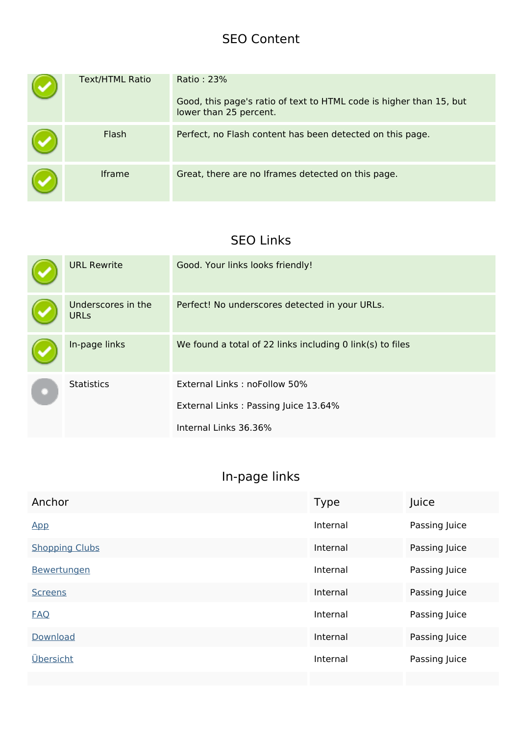### **SEO Content**

| <b>Text/HTML Ratio</b> | Ratio: 23%<br>Good, this page's ratio of text to HTML code is higher than 15, but<br>lower than 25 percent. |
|------------------------|-------------------------------------------------------------------------------------------------------------|
| Flash                  | Perfect, no Flash content has been detected on this page.                                                   |
| <b>Iframe</b>          | Great, there are no Iframes detected on this page.                                                          |

## **SEO Links**

| <b>URL Rewrite</b>                | Good. Your links looks friendly!                          |
|-----------------------------------|-----------------------------------------------------------|
| Underscores in the<br><b>URLs</b> | Perfect! No underscores detected in your URLs.            |
| In-page links                     | We found a total of 22 links including 0 link(s) to files |
| <b>Statistics</b>                 | External Links: noFollow 50%                              |
|                                   | External Links: Passing Juice 13.64%                      |
|                                   | Internal Links 36.36%                                     |

## **In-page links**

| Anchor                | <b>Type</b> | Juice         |
|-----------------------|-------------|---------------|
| App                   | Internal    | Passing Juice |
| <b>Shopping Clubs</b> | Internal    | Passing Juice |
| Bewertungen           | Internal    | Passing Juice |
| <b>Screens</b>        | Internal    | Passing Juice |
| <b>FAO</b>            | Internal    | Passing Juice |
| Download              | Internal    | Passing Juice |
| Übersicht             | Internal    | Passing Juice |
|                       |             |               |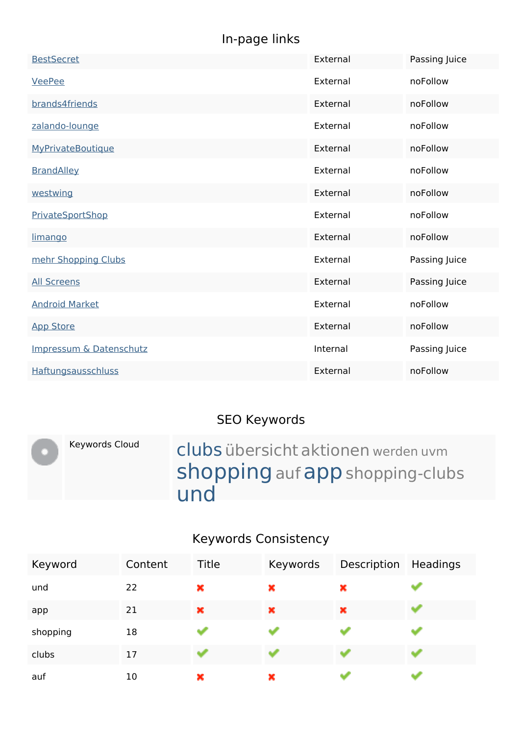# **In-page links**

| <b>BestSecret</b>                  | External | Passing Juice |
|------------------------------------|----------|---------------|
| <b>VeePee</b>                      | External | noFollow      |
| brands4friends                     | External | noFollow      |
| zalando-lounge                     | External | noFollow      |
| <b>MyPrivateBoutique</b>           | External | noFollow      |
| <b>BrandAlley</b>                  | External | noFollow      |
| westwing                           | External | noFollow      |
| <b>PrivateSportShop</b>            | External | noFollow      |
| limango                            | External | noFollow      |
| mehr Shopping Clubs                | External | Passing Juice |
| <b>All Screens</b>                 | External | Passing Juice |
| <b>Android Market</b>              | External | noFollow      |
| <b>App Store</b>                   | External | noFollow      |
| <b>Impressum &amp; Datenschutz</b> | Internal | Passing Juice |
| <b>Haftungsausschluss</b>          | External | noFollow      |

## **SEO Keywords**

| Keywords Cloud | clubs übersicht aktionen werden uvm |
|----------------|-------------------------------------|
|                | shopping auf app shopping-clubs     |
|                | und                                 |

# **Keywords Consistency**

| Keyword  | Content | Title  | Keywords | Description Headings |  |
|----------|---------|--------|----------|----------------------|--|
| und      | 22      | ×      | ×        | ×                    |  |
| app      | 21      | ×      | ×        | ×                    |  |
| shopping | 18      |        |          |                      |  |
| clubs    | 17      | التجار | أفطار    | dial.                |  |
| auf      | 10      | ×      | ×        |                      |  |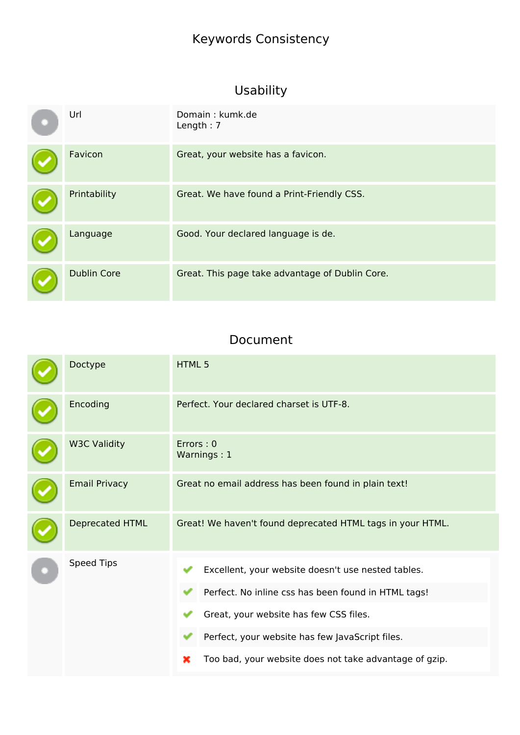# **Keywords Consistency**

# **Usability**

| Url                | Domain: kumk.de<br>Length: $7$                  |
|--------------------|-------------------------------------------------|
| Favicon            | Great, your website has a favicon.              |
| Printability       | Great. We have found a Print-Friendly CSS.      |
| Language           | Good. Your declared language is de.             |
| <b>Dublin Core</b> | Great. This page take advantage of Dublin Core. |

#### **Document**

| Doctype              | HTML <sub>5</sub>                                                                                         |  |  |
|----------------------|-----------------------------------------------------------------------------------------------------------|--|--|
| Encoding             | Perfect. Your declared charset is UTF-8.                                                                  |  |  |
| <b>W3C Validity</b>  | Errors: 0<br>Warnings: 1                                                                                  |  |  |
| <b>Email Privacy</b> | Great no email address has been found in plain text!                                                      |  |  |
| Deprecated HTML      | Great! We haven't found deprecated HTML tags in your HTML.                                                |  |  |
| <b>Speed Tips</b>    | Excellent, your website doesn't use nested tables.<br>Perfect. No inline css has been found in HTML tags! |  |  |
|                      | Great, your website has few CSS files.                                                                    |  |  |
|                      | Perfect, your website has few JavaScript files.                                                           |  |  |
|                      | Too bad, your website does not take advantage of gzip.<br>×                                               |  |  |